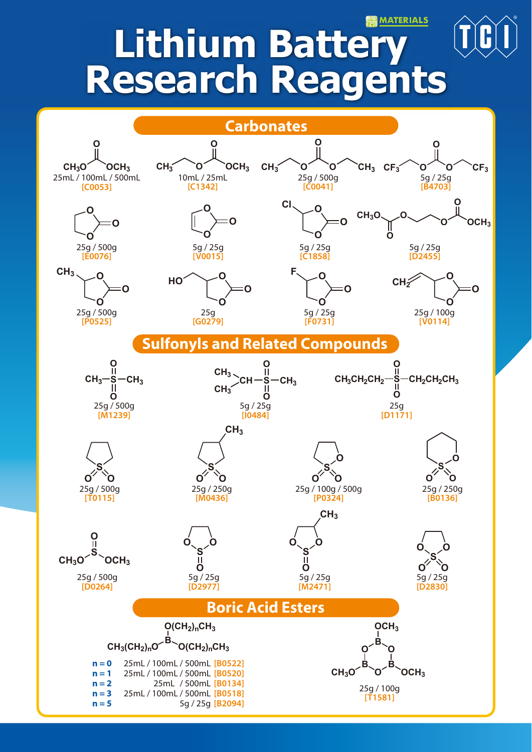### **MATERIALS**

# **Lithium Batter Research Reagents**